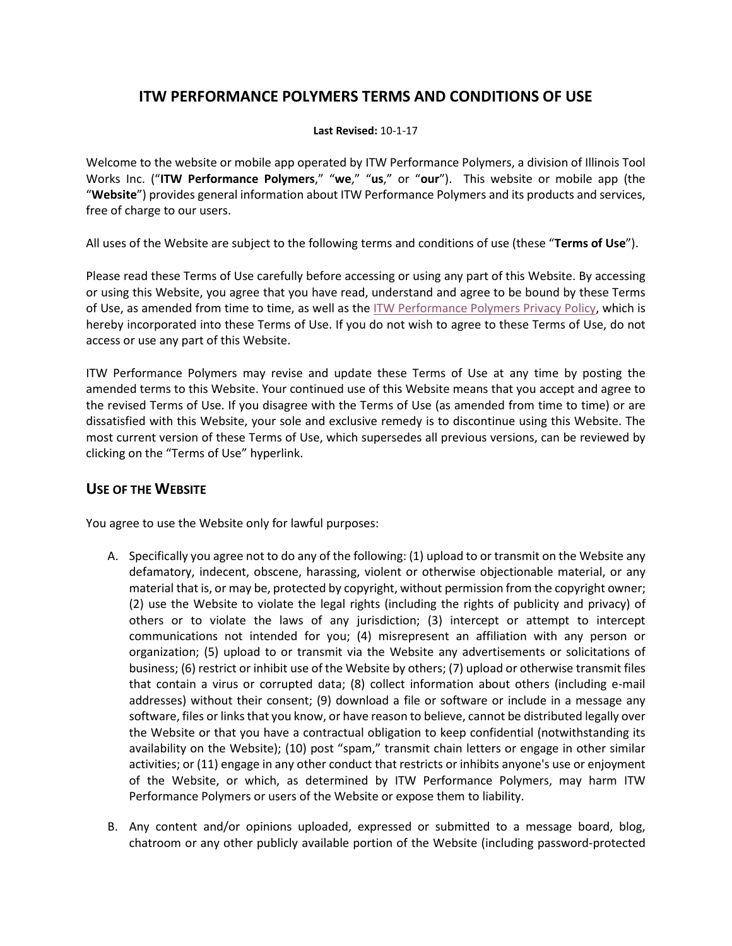# **ITW PERFORMANCE POLYMERS TERMS AND CONDITIONS OF USE**

#### **Last Revised:** 10-1-17

Welcome to the website or mobile app operated by ITW Performance Polymers, a division of Illinois Tool Works Inc. ("**ITW Performance Polymers**," "**we**," "**us**," or "**our**"). This website or mobile app (the "**Website**") provides general information about ITW Performance Polymers and its products and services, free of charge to our users.

All uses of the Website are subject to the following terms and conditions of use (these "**Terms of Use**").

Please read these Terms of Use carefully before accessing or using any part of this Website. By accessing or using this Website, you agree that you have read, understand and agree to be bound by these Terms of Use, as amended from time to time, as well as the [ITW Performance Polymers](https://itwperformancepolymers.com/media/14006/itw-performance-polymers-privacy-policy.pdf) Privacy Policy, which is hereby incorporated into these Terms of Use. If you do not wish to agree to these Terms of Use, do not access or use any part of this Website.

ITW Performance Polymers may revise and update these Terms of Use at any time by posting the amended terms to this Website. Your continued use of this Website means that you accept and agree to the revised Terms of Use. If you disagree with the Terms of Use (as amended from time to time) or are dissatisfied with this Website, your sole and exclusive remedy is to discontinue using this Website. The most current version of these Terms of Use, which supersedes all previous versions, can be reviewed by clicking on the "Terms of Use" hyperlink.

### **USE OF THE WEBSITE**

You agree to use the Website only for lawful purposes:

- A. Specifically you agree not to do any of the following: (1) upload to or transmit on the Website any defamatory, indecent, obscene, harassing, violent or otherwise objectionable material, or any material that is, or may be, protected by copyright, without permission from the copyright owner; (2) use the Website to violate the legal rights (including the rights of publicity and privacy) of others or to violate the laws of any jurisdiction; (3) intercept or attempt to intercept communications not intended for you; (4) misrepresent an affiliation with any person or organization; (5) upload to or transmit via the Website any advertisements or solicitations of business; (6) restrict or inhibit use of the Website by others; (7) upload or otherwise transmit files that contain a virus or corrupted data; (8) collect information about others (including e-mail addresses) without their consent; (9) download a file or software or include in a message any software, files or links that you know, or have reason to believe, cannot be distributed legally over the Website or that you have a contractual obligation to keep confidential (notwithstanding its availability on the Website); (10) post "spam," transmit chain letters or engage in other similar activities; or (11) engage in any other conduct that restricts or inhibits anyone's use or enjoyment of the Website, or which, as determined by ITW Performance Polymers, may harm ITW Performance Polymers or users of the Website or expose them to liability.
- B. Any content and/or opinions uploaded, expressed or submitted to a message board, blog, chatroom or any other publicly available portion of the Website (including password-protected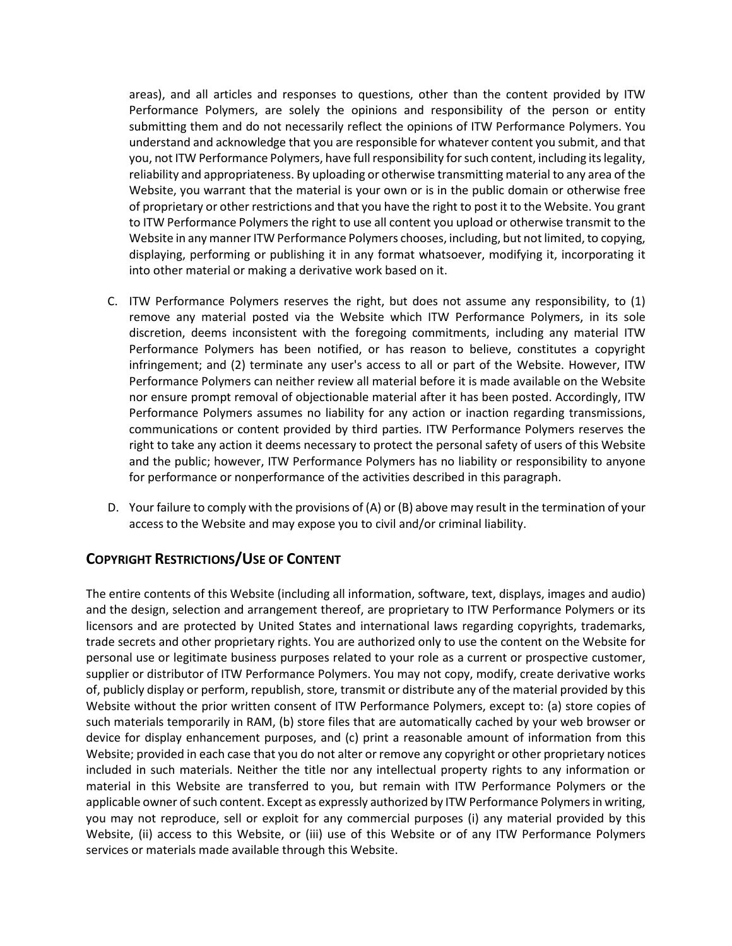areas), and all articles and responses to questions, other than the content provided by ITW Performance Polymers, are solely the opinions and responsibility of the person or entity submitting them and do not necessarily reflect the opinions of ITW Performance Polymers. You understand and acknowledge that you are responsible for whatever content you submit, and that you, not ITW Performance Polymers, have full responsibility for such content, including its legality, reliability and appropriateness. By uploading or otherwise transmitting material to any area of the Website, you warrant that the material is your own or is in the public domain or otherwise free of proprietary or other restrictions and that you have the right to post it to the Website. You grant to ITW Performance Polymers the right to use all content you upload or otherwise transmit to the Website in any manner ITW Performance Polymers chooses, including, but not limited, to copying, displaying, performing or publishing it in any format whatsoever, modifying it, incorporating it into other material or making a derivative work based on it.

- C. ITW Performance Polymers reserves the right, but does not assume any responsibility, to (1) remove any material posted via the Website which ITW Performance Polymers, in its sole discretion, deems inconsistent with the foregoing commitments, including any material ITW Performance Polymers has been notified, or has reason to believe, constitutes a copyright infringement; and (2) terminate any user's access to all or part of the Website. However, ITW Performance Polymers can neither review all material before it is made available on the Website nor ensure prompt removal of objectionable material after it has been posted. Accordingly, ITW Performance Polymers assumes no liability for any action or inaction regarding transmissions, communications or content provided by third parties. ITW Performance Polymers reserves the right to take any action it deems necessary to protect the personal safety of users of this Website and the public; however, ITW Performance Polymers has no liability or responsibility to anyone for performance or nonperformance of the activities described in this paragraph.
- D. Your failure to comply with the provisions of (A) or (B) above may result in the termination of your access to the Website and may expose you to civil and/or criminal liability.

## **COPYRIGHT RESTRICTIONS/USE OF CONTENT**

The entire contents of this Website (including all information, software, text, displays, images and audio) and the design, selection and arrangement thereof, are proprietary to ITW Performance Polymers or its licensors and are protected by United States and international laws regarding copyrights, trademarks, trade secrets and other proprietary rights. You are authorized only to use the content on the Website for personal use or legitimate business purposes related to your role as a current or prospective customer, supplier or distributor of ITW Performance Polymers. You may not copy, modify, create derivative works of, publicly display or perform, republish, store, transmit or distribute any of the material provided by this Website without the prior written consent of ITW Performance Polymers, except to: (a) store copies of such materials temporarily in RAM, (b) store files that are automatically cached by your web browser or device for display enhancement purposes, and (c) print a reasonable amount of information from this Website; provided in each case that you do not alter or remove any copyright or other proprietary notices included in such materials. Neither the title nor any intellectual property rights to any information or material in this Website are transferred to you, but remain with ITW Performance Polymers or the applicable owner of such content. Except as expressly authorized by ITW Performance Polymers in writing, you may not reproduce, sell or exploit for any commercial purposes (i) any material provided by this Website, (ii) access to this Website, or (iii) use of this Website or of any ITW Performance Polymers services or materials made available through this Website.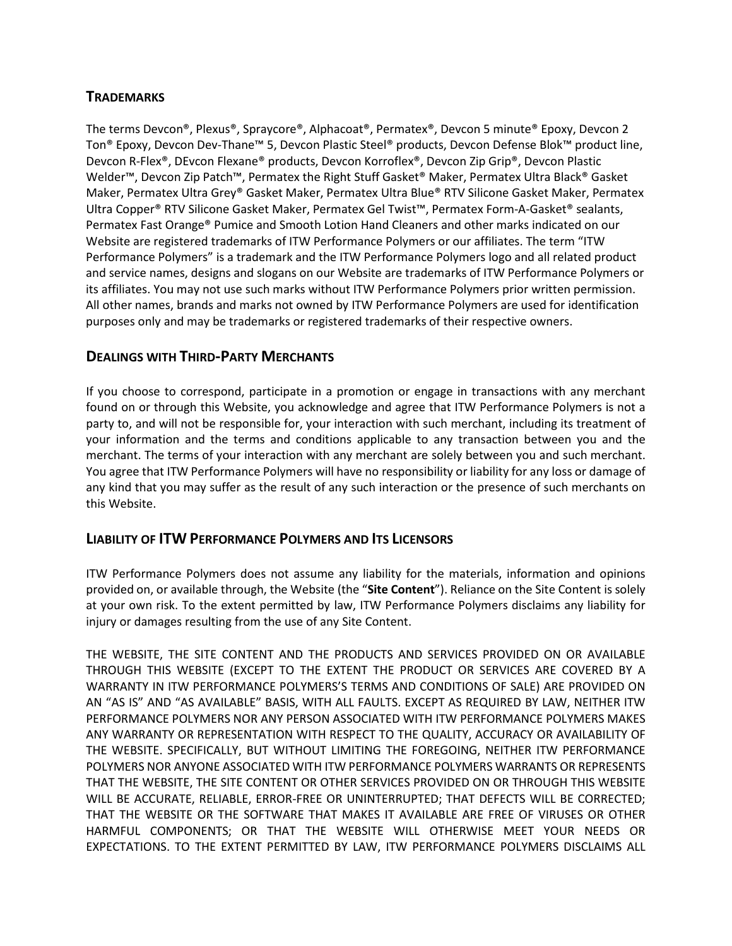# **TRADEMARKS**

The terms Devcon®, Plexus®, Spraycore®, Alphacoat®, Permatex®, Devcon 5 minute® Epoxy, Devcon 2 Ton® Epoxy, Devcon Dev-Thane™ 5, Devcon Plastic Steel® products, Devcon Defense Blok™ product line, Devcon R-Flex®, DEvcon Flexane® products, Devcon Korroflex®, Devcon Zip Grip®, Devcon Plastic Welder™, Devcon Zip Patch™, Permatex the Right Stuff Gasket® Maker, Permatex Ultra Black® Gasket Maker, Permatex Ultra Grey® Gasket Maker, Permatex Ultra Blue® RTV Silicone Gasket Maker, Permatex Ultra Copper® RTV Silicone Gasket Maker, Permatex Gel Twist™, Permatex Form-A-Gasket® sealants, Permatex Fast Orange® Pumice and Smooth Lotion Hand Cleaners and other marks indicated on our Website are registered trademarks of ITW Performance Polymers or our affiliates. The term "ITW Performance Polymers" is a trademark and the ITW Performance Polymers logo and all related product and service names, designs and slogans on our Website are trademarks of ITW Performance Polymers or its affiliates. You may not use such marks without ITW Performance Polymers prior written permission. All other names, brands and marks not owned by ITW Performance Polymers are used for identification purposes only and may be trademarks or registered trademarks of their respective owners.

## **DEALINGS WITH THIRD-PARTY MERCHANTS**

If you choose to correspond, participate in a promotion or engage in transactions with any merchant found on or through this Website, you acknowledge and agree that ITW Performance Polymers is not a party to, and will not be responsible for, your interaction with such merchant, including its treatment of your information and the terms and conditions applicable to any transaction between you and the merchant. The terms of your interaction with any merchant are solely between you and such merchant. You agree that ITW Performance Polymers will have no responsibility or liability for any loss or damage of any kind that you may suffer as the result of any such interaction or the presence of such merchants on this Website.

### **LIABILITY OF ITW PERFORMANCE POLYMERS AND ITS LICENSORS**

ITW Performance Polymers does not assume any liability for the materials, information and opinions provided on, or available through, the Website (the "**Site Content**"). Reliance on the Site Content is solely at your own risk. To the extent permitted by law, ITW Performance Polymers disclaims any liability for injury or damages resulting from the use of any Site Content.

THE WEBSITE, THE SITE CONTENT AND THE PRODUCTS AND SERVICES PROVIDED ON OR AVAILABLE THROUGH THIS WEBSITE (EXCEPT TO THE EXTENT THE PRODUCT OR SERVICES ARE COVERED BY A WARRANTY IN ITW PERFORMANCE POLYMERS'S TERMS AND CONDITIONS OF SALE) ARE PROVIDED ON AN "AS IS" AND "AS AVAILABLE" BASIS, WITH ALL FAULTS. EXCEPT AS REQUIRED BY LAW, NEITHER ITW PERFORMANCE POLYMERS NOR ANY PERSON ASSOCIATED WITH ITW PERFORMANCE POLYMERS MAKES ANY WARRANTY OR REPRESENTATION WITH RESPECT TO THE QUALITY, ACCURACY OR AVAILABILITY OF THE WEBSITE. SPECIFICALLY, BUT WITHOUT LIMITING THE FOREGOING, NEITHER ITW PERFORMANCE POLYMERS NOR ANYONE ASSOCIATED WITH ITW PERFORMANCE POLYMERS WARRANTS OR REPRESENTS THAT THE WEBSITE, THE SITE CONTENT OR OTHER SERVICES PROVIDED ON OR THROUGH THIS WEBSITE WILL BE ACCURATE, RELIABLE, ERROR-FREE OR UNINTERRUPTED; THAT DEFECTS WILL BE CORRECTED; THAT THE WEBSITE OR THE SOFTWARE THAT MAKES IT AVAILABLE ARE FREE OF VIRUSES OR OTHER HARMFUL COMPONENTS; OR THAT THE WEBSITE WILL OTHERWISE MEET YOUR NEEDS OR EXPECTATIONS. TO THE EXTENT PERMITTED BY LAW, ITW PERFORMANCE POLYMERS DISCLAIMS ALL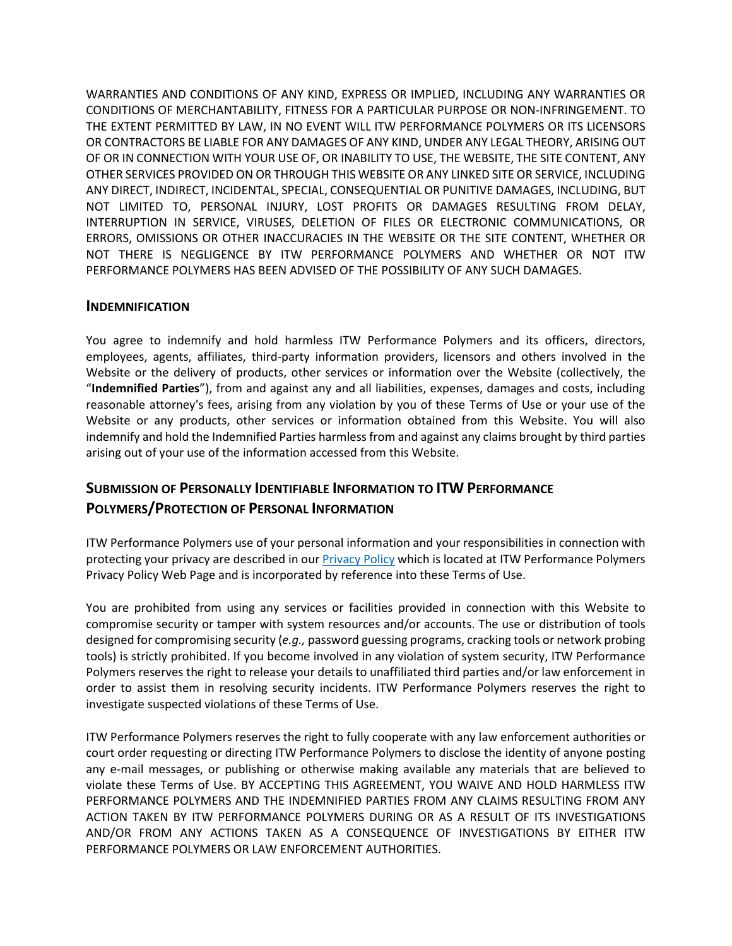WARRANTIES AND CONDITIONS OF ANY KIND, EXPRESS OR IMPLIED, INCLUDING ANY WARRANTIES OR CONDITIONS OF MERCHANTABILITY, FITNESS FOR A PARTICULAR PURPOSE OR NON-INFRINGEMENT. TO THE EXTENT PERMITTED BY LAW, IN NO EVENT WILL ITW PERFORMANCE POLYMERS OR ITS LICENSORS OR CONTRACTORS BE LIABLE FOR ANY DAMAGES OF ANY KIND, UNDER ANY LEGAL THEORY, ARISING OUT OF OR IN CONNECTION WITH YOUR USE OF, OR INABILITY TO USE, THE WEBSITE, THE SITE CONTENT, ANY OTHER SERVICES PROVIDED ON OR THROUGH THIS WEBSITE OR ANY LINKED SITE OR SERVICE, INCLUDING ANY DIRECT, INDIRECT, INCIDENTAL, SPECIAL, CONSEQUENTIAL OR PUNITIVE DAMAGES, INCLUDING, BUT NOT LIMITED TO, PERSONAL INJURY, LOST PROFITS OR DAMAGES RESULTING FROM DELAY, INTERRUPTION IN SERVICE, VIRUSES, DELETION OF FILES OR ELECTRONIC COMMUNICATIONS, OR ERRORS, OMISSIONS OR OTHER INACCURACIES IN THE WEBSITE OR THE SITE CONTENT, WHETHER OR NOT THERE IS NEGLIGENCE BY ITW PERFORMANCE POLYMERS AND WHETHER OR NOT ITW PERFORMANCE POLYMERS HAS BEEN ADVISED OF THE POSSIBILITY OF ANY SUCH DAMAGES.

#### **INDEMNIFICATION**

You agree to indemnify and hold harmless ITW Performance Polymers and its officers, directors, employees, agents, affiliates, third-party information providers, licensors and others involved in the Website or the delivery of products, other services or information over the Website (collectively, the "**Indemnified Parties**"), from and against any and all liabilities, expenses, damages and costs, including reasonable attorney's fees, arising from any violation by you of these Terms of Use or your use of the Website or any products, other services or information obtained from this Website. You will also indemnify and hold the Indemnified Parties harmless from and against any claims brought by third parties arising out of your use of the information accessed from this Website.

# **SUBMISSION OF PERSONALLY IDENTIFIABLE INFORMATION TO ITW PERFORMANCE POLYMERS/PROTECTION OF PERSONAL INFORMATION**

ITW Performance Polymers use of your personal information and your responsibilities in connection with protecting your privacy are described in ou[r Privacy Policy](https://itwperformancepolymers.com/media/14006/itw-performance-polymers-privacy-policy.pdf) which is located at ITW Performance Polymers Privacy Policy Web Page and is incorporated by reference into these Terms of Use.

You are prohibited from using any services or facilities provided in connection with this Website to compromise security or tamper with system resources and/or accounts. The use or distribution of tools designed for compromising security (*e.g.,* password guessing programs, cracking tools or network probing tools) is strictly prohibited. If you become involved in any violation of system security, ITW Performance Polymers reserves the right to release your details to unaffiliated third parties and/or law enforcement in order to assist them in resolving security incidents. ITW Performance Polymers reserves the right to investigate suspected violations of these Terms of Use.

ITW Performance Polymers reserves the right to fully cooperate with any law enforcement authorities or court order requesting or directing ITW Performance Polymers to disclose the identity of anyone posting any e-mail messages, or publishing or otherwise making available any materials that are believed to violate these Terms of Use. BY ACCEPTING THIS AGREEMENT, YOU WAIVE AND HOLD HARMLESS ITW PERFORMANCE POLYMERS AND THE INDEMNIFIED PARTIES FROM ANY CLAIMS RESULTING FROM ANY ACTION TAKEN BY ITW PERFORMANCE POLYMERS DURING OR AS A RESULT OF ITS INVESTIGATIONS AND/OR FROM ANY ACTIONS TAKEN AS A CONSEQUENCE OF INVESTIGATIONS BY EITHER ITW PERFORMANCE POLYMERS OR LAW ENFORCEMENT AUTHORITIES.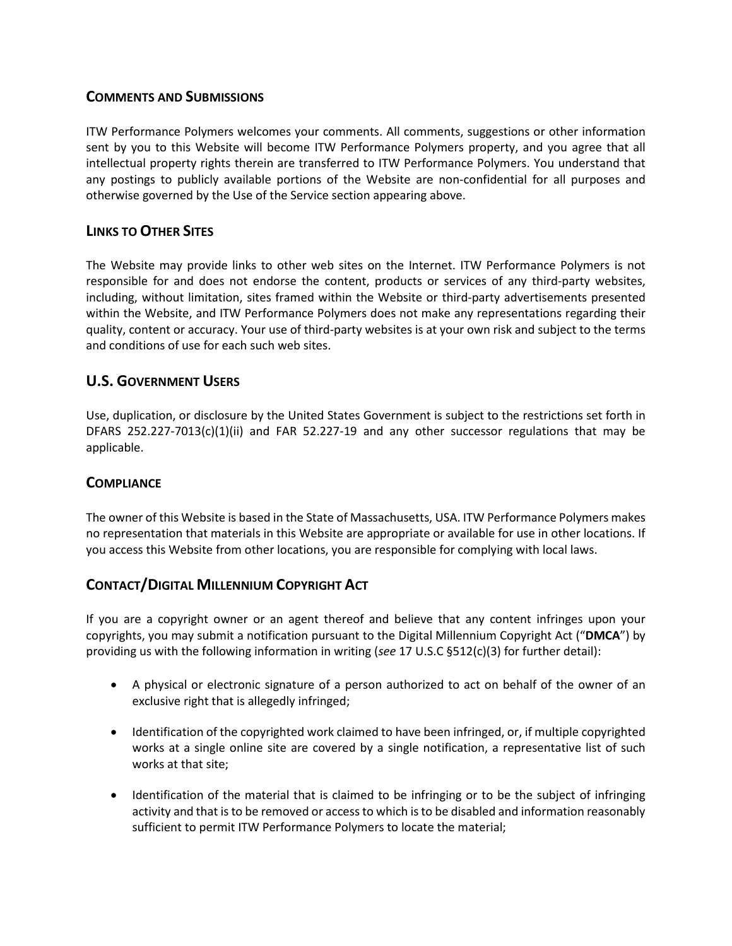## **COMMENTS AND SUBMISSIONS**

ITW Performance Polymers welcomes your comments. All comments, suggestions or other information sent by you to this Website will become ITW Performance Polymers property, and you agree that all intellectual property rights therein are transferred to ITW Performance Polymers. You understand that any postings to publicly available portions of the Website are non-confidential for all purposes and otherwise governed by the Use of the Service section appearing above.

## **LINKS TO OTHER SITES**

The Website may provide links to other web sites on the Internet. ITW Performance Polymers is not responsible for and does not endorse the content, products or services of any third-party websites, including, without limitation, sites framed within the Website or third-party advertisements presented within the Website, and ITW Performance Polymers does not make any representations regarding their quality, content or accuracy. Your use of third-party websites is at your own risk and subject to the terms and conditions of use for each such web sites.

## **U.S. GOVERNMENT USERS**

Use, duplication, or disclosure by the United States Government is subject to the restrictions set forth in DFARS 252.227-7013(c)(1)(ii) and FAR 52.227-19 and any other successor regulations that may be applicable.

### **COMPLIANCE**

The owner of this Website is based in the State of Massachusetts, USA. ITW Performance Polymers makes no representation that materials in this Website are appropriate or available for use in other locations. If you access this Website from other locations, you are responsible for complying with local laws.

## **CONTACT/DIGITAL MILLENNIUM COPYRIGHT ACT**

If you are a copyright owner or an agent thereof and believe that any content infringes upon your copyrights, you may submit a notification pursuant to the Digital Millennium Copyright Act ("**DMCA**") by providing us with the following information in writing (*see* 17 U.S.C §512(c)(3) for further detail):

- A physical or electronic signature of a person authorized to act on behalf of the owner of an exclusive right that is allegedly infringed;
- Identification of the copyrighted work claimed to have been infringed, or, if multiple copyrighted works at a single online site are covered by a single notification, a representative list of such works at that site;
- Identification of the material that is claimed to be infringing or to be the subject of infringing activity and that is to be removed or access to which is to be disabled and information reasonably sufficient to permit ITW Performance Polymers to locate the material;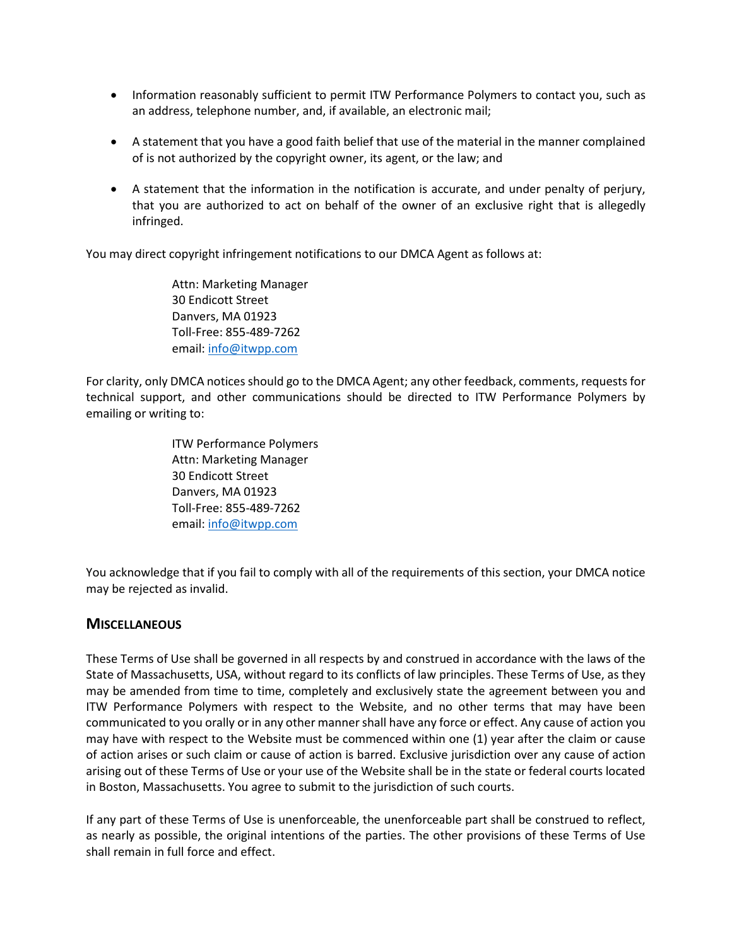- Information reasonably sufficient to permit ITW Performance Polymers to contact you, such as an address, telephone number, and, if available, an electronic mail;
- A statement that you have a good faith belief that use of the material in the manner complained of is not authorized by the copyright owner, its agent, or the law; and
- A statement that the information in the notification is accurate, and under penalty of perjury, that you are authorized to act on behalf of the owner of an exclusive right that is allegedly infringed.

You may direct copyright infringement notifications to our DMCA Agent as follows at:

Attn: Marketing Manager 30 Endicott Street Danvers, MA 01923 Toll-Free: 855-489-7262 email: [info@itwpp.com](mailto:info@itwpp.com)

For clarity, only DMCA notices should go to the DMCA Agent; any other feedback, comments, requests for technical support, and other communications should be directed to ITW Performance Polymers by emailing or writing to:

> ITW Performance Polymers Attn: Marketing Manager 30 Endicott Street Danvers, MA 01923 Toll-Free: 855-489-7262 email: [info@itwpp.com](mailto:info@itwpp.com)

You acknowledge that if you fail to comply with all of the requirements of this section, your DMCA notice may be rejected as invalid.

#### **MISCELLANEOUS**

These Terms of Use shall be governed in all respects by and construed in accordance with the laws of the State of Massachusetts, USA, without regard to its conflicts of law principles. These Terms of Use, as they may be amended from time to time, completely and exclusively state the agreement between you and ITW Performance Polymers with respect to the Website, and no other terms that may have been communicated to you orally or in any other manner shall have any force or effect. Any cause of action you may have with respect to the Website must be commenced within one (1) year after the claim or cause of action arises or such claim or cause of action is barred. Exclusive jurisdiction over any cause of action arising out of these Terms of Use or your use of the Website shall be in the state or federal courts located in Boston, Massachusetts. You agree to submit to the jurisdiction of such courts.

If any part of these Terms of Use is unenforceable, the unenforceable part shall be construed to reflect, as nearly as possible, the original intentions of the parties. The other provisions of these Terms of Use shall remain in full force and effect.